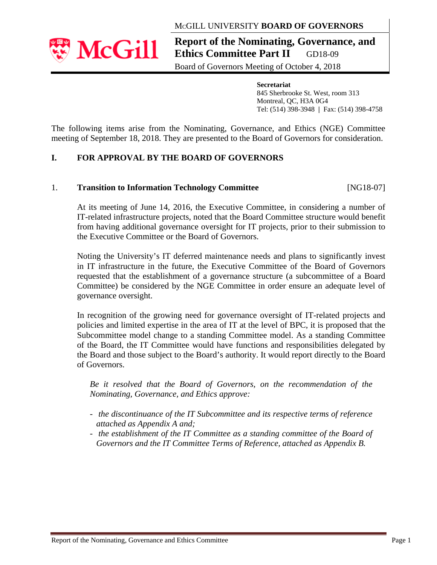## MCGILL UNIVERSITY **BOARD OF GOVERNORS**



**Report of the Nominating, Governance, and Ethics Committee Part II** GD18-09

Board of Governors Meeting of October 4, 2018

 **Secretariat** 845 Sherbrooke St. West, room 313 Montreal, QC, H3A 0G4 Tel: (514) 398-3948 **|** Fax: (514) 398-4758

The following items arise from the Nominating, Governance, and Ethics (NGE) Committee meeting of September 18, 2018. They are presented to the Board of Governors for consideration.

# **I. FOR APPROVAL BY THE BOARD OF GOVERNORS**

### 1. **Transition to Information Technology Committee** [NG18-07]

At its meeting of June 14, 2016, the Executive Committee, in considering a number of IT-related infrastructure projects, noted that the Board Committee structure would benefit from having additional governance oversight for IT projects, prior to their submission to the Executive Committee or the Board of Governors.

Noting the University's IT deferred maintenance needs and plans to significantly invest in IT infrastructure in the future, the Executive Committee of the Board of Governors requested that the establishment of a governance structure (a subcommittee of a Board Committee) be considered by the NGE Committee in order ensure an adequate level of governance oversight.

In recognition of the growing need for governance oversight of IT-related projects and policies and limited expertise in the area of IT at the level of BPC, it is proposed that the Subcommittee model change to a standing Committee model. As a standing Committee of the Board, the IT Committee would have functions and responsibilities delegated by the Board and those subject to the Board's authority. It would report directly to the Board of Governors.

*Be it resolved that the Board of Governors, on the recommendation of the Nominating, Governance, and Ethics approve:* 

- *the discontinuance of the IT Subcommittee and its respective terms of reference attached as Appendix A and;*
- *the establishment of the IT Committee as a standing committee of the Board of Governors and the IT Committee Terms of Reference, attached as Appendix B.*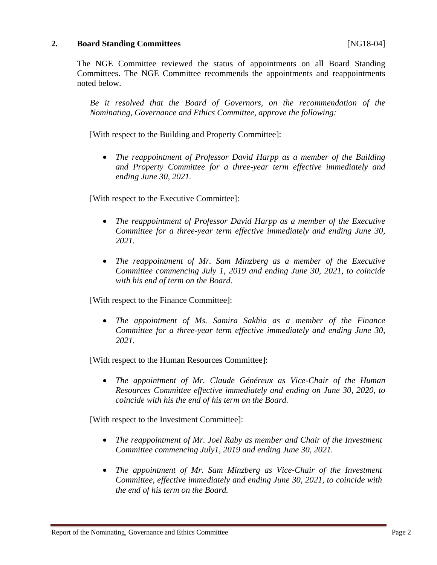## **2.** Board Standing Committees **and Standing Committees [NG18-04]**

The NGE Committee reviewed the status of appointments on all Board Standing Committees. The NGE Committee recommends the appointments and reappointments noted below.

*Be it resolved that the Board of Governors, on the recommendation of the Nominating, Governance and Ethics Committee, approve the following:* 

[With respect to the Building and Property Committee]:

 *The reappointment of Professor David Harpp as a member of the Building and Property Committee for a three-year term effective immediately and ending June 30, 2021.* 

[With respect to the Executive Committee]:

- *The reappointment of Professor David Harpp as a member of the Executive Committee for a three-year term effective immediately and ending June 30, 2021.*
- *The reappointment of Mr. Sam Minzberg as a member of the Executive Committee commencing July 1, 2019 and ending June 30, 2021, to coincide with his end of term on the Board.*

[With respect to the Finance Committee]:

 *The appointment of Ms. Samira Sakhia as a member of the Finance Committee for a three-year term effective immediately and ending June 30, 2021.*

[With respect to the Human Resources Committee]:

 *The appointment of Mr. Claude Généreux as Vice-Chair of the Human Resources Committee effective immediately and ending on June 30, 2020, to coincide with his the end of his term on the Board.* 

[With respect to the Investment Committee]:

- The reappointment of Mr. Joel Raby as member and Chair of the Investment *Committee commencing July1, 2019 and ending June 30, 2021.*
- The appointment of Mr. Sam Minzberg as Vice-Chair of the Investment *Committee, effective immediately and ending June 30, 2021, to coincide with the end of his term on the Board.*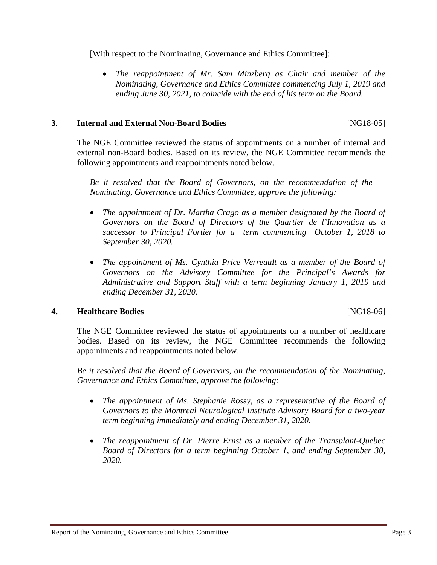[With respect to the Nominating, Governance and Ethics Committee]:

 *The reappointment of Mr. Sam Minzberg as Chair and member of the Nominating, Governance and Ethics Committee commencing July 1, 2019 and ending June 30, 2021, to coincide with the end of his term on the Board.*

## **3***.* **Internal and External Non-Board Bodies** [NG18-05]

The NGE Committee reviewed the status of appointments on a number of internal and external non-Board bodies. Based on its review, the NGE Committee recommends the following appointments and reappointments noted below.

*Be it resolved that the Board of Governors, on the recommendation of the Nominating, Governance and Ethics Committee, approve the following:* 

- The appointment of Dr. Martha Crago as a member designated by the Board of *Governors on the Board of Directors of the Quartier de l'Innovation as a successor to Principal Fortier for a term commencing October 1, 2018 to September 30, 2020.*
- The appointment of Ms. Cynthia Price Verreault as a member of the Board of *Governors on the Advisory Committee for the Principal's Awards for Administrative and Support Staff with a term beginning January 1, 2019 and ending December 31, 2020.*

## **4. Healthcare Bodies** [NG18-06]

The NGE Committee reviewed the status of appointments on a number of healthcare bodies. Based on its review, the NGE Committee recommends the following appointments and reappointments noted below.

*Be it resolved that the Board of Governors, on the recommendation of the Nominating, Governance and Ethics Committee, approve the following:* 

- The appointment of Ms. Stephanie Rossy, as a representative of the Board of *Governors to the Montreal Neurological Institute Advisory Board for a two-year term beginning immediately and ending December 31, 2020.*
- *The reappointment of Dr. Pierre Ernst as a member of the Transplant-Quebec Board of Directors for a term beginning October 1, and ending September 30, 2020.*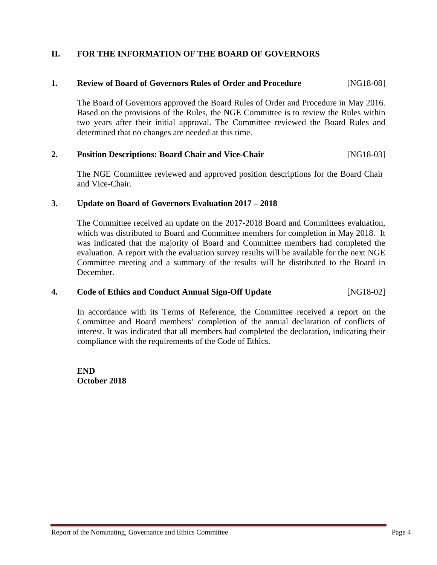## **II. FOR THE INFORMATION OF THE BOARD OF GOVERNORS**

## **1. Review of Board of Governors Rules of Order and Procedure** [NG18-08]

The Board of Governors approved the Board Rules of Order and Procedure in May 2016. Based on the provisions of the Rules, the NGE Committee is to review the Rules within two years after their initial approval. The Committee reviewed the Board Rules and determined that no changes are needed at this time.

## **2. Position Descriptions: Board Chair and Vice-Chair** [NG18-03]

The NGE Committee reviewed and approved position descriptions for the Board Chair and Vice-Chair.

### **3. Update on Board of Governors Evaluation 2017 – 2018**

The Committee received an update on the 2017-2018 Board and Committees evaluation, which was distributed to Board and Committee members for completion in May 2018. It was indicated that the majority of Board and Committee members had completed the evaluation. A report with the evaluation survey results will be available for the next NGE Committee meeting and a summary of the results will be distributed to the Board in December.

### **4. Code of Ethics and Conduct Annual Sign-Off Update** [NG18-02]

In accordance with its Terms of Reference, the Committee received a report on the Committee and Board members' completion of the annual declaration of conflicts of interest. It was indicated that all members had completed the declaration, indicating their compliance with the requirements of the Code of Ethics.

**END October 2018**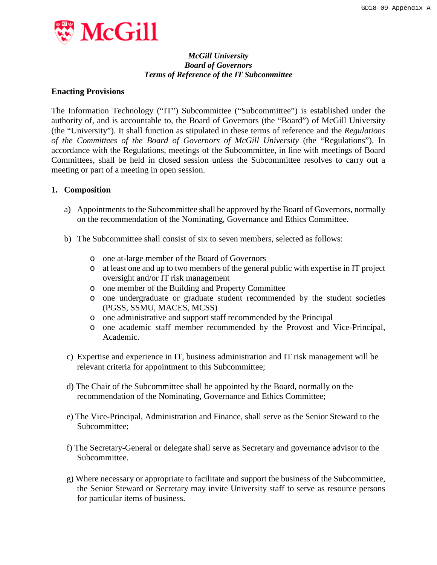

#### *McGill University Board of Governors Terms of Reference of the IT Subcommittee*

#### **Enacting Provisions**

The Information Technology ("IT") Subcommittee ("Subcommittee") is established under the authority of, and is accountable to, the Board of Governors (the "Board") of McGill University (the "University"). It shall function as stipulated in these terms of reference and the *Regulations of the Committees of the Board of Governors of McGill University* (the "Regulations"). In accordance with the Regulations, meetings of the Subcommittee, in line with meetings of Board Committees, shall be held in closed session unless the Subcommittee resolves to carry out a meeting or part of a meeting in open session.

#### **1. Composition**

- a) Appointments to the Subcommittee shall be approved by the Board of Governors, normally on the recommendation of the Nominating, Governance and Ethics Committee.
- b) The Subcommittee shall consist of six to seven members, selected as follows:
	- o one at-large member of the Board of Governors
	- o at least one and up to two members of the general public with expertise in IT project oversight and/or IT risk management
	- o one member of the Building and Property Committee
	- o one undergraduate or graduate student recommended by the student societies (PGSS, SSMU, MACES, MCSS)
	- o one administrative and support staff recommended by the Principal
	- o one academic staff member recommended by the Provost and Vice-Principal, Academic.
- c) Expertise and experience in IT, business administration and IT risk management will be relevant criteria for appointment to this Subcommittee;
- d) The Chair of the Subcommittee shall be appointed by the Board, normally on the recommendation of the Nominating, Governance and Ethics Committee;
- e) The Vice-Principal, Administration and Finance, shall serve as the Senior Steward to the Subcommittee;
- f) The Secretary-General or delegate shall serve as Secretary and governance advisor to the Subcommittee.
- g) Where necessary or appropriate to facilitate and support the business of the Subcommittee, the Senior Steward or Secretary may invite University staff to serve as resource persons for particular items of business.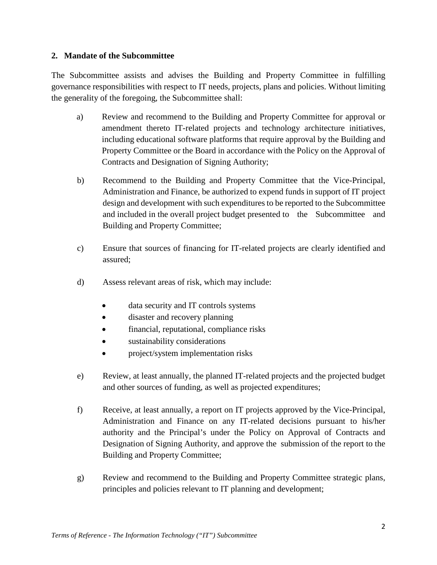### **2. Mandate of the Subcommittee**

The Subcommittee assists and advises the Building and Property Committee in fulfilling governance responsibilities with respect to IT needs, projects, plans and policies. Without limiting the generality of the foregoing, the Subcommittee shall:

- a) Review and recommend to the Building and Property Committee for approval or amendment thereto IT-related projects and technology architecture initiatives, including educational software platforms that require approval by the Building and Property Committee or the Board in accordance with the Policy on the Approval of Contracts and Designation of Signing Authority;
- b) Recommend to the Building and Property Committee that the Vice-Principal, Administration and Finance, be authorized to expend funds in support of IT project design and development with such expenditures to be reported to the Subcommittee and included in the overall project budget presented to the Subcommittee and Building and Property Committee;
- c) Ensure that sources of financing for IT-related projects are clearly identified and assured;
- d) Assess relevant areas of risk, which may include:
	- data security and IT controls systems
	- disaster and recovery planning
	- financial, reputational, compliance risks
	- sustainability considerations
	- project/system implementation risks
- e) Review, at least annually, the planned IT-related projects and the projected budget and other sources of funding, as well as projected expenditures;
- f) Receive, at least annually, a report on IT projects approved by the Vice-Principal, Administration and Finance on any IT-related decisions pursuant to his/her authority and the Principal's under the Policy on Approval of Contracts and Designation of Signing Authority, and approve the submission of the report to the Building and Property Committee;
- g) Review and recommend to the Building and Property Committee strategic plans, principles and policies relevant to IT planning and development;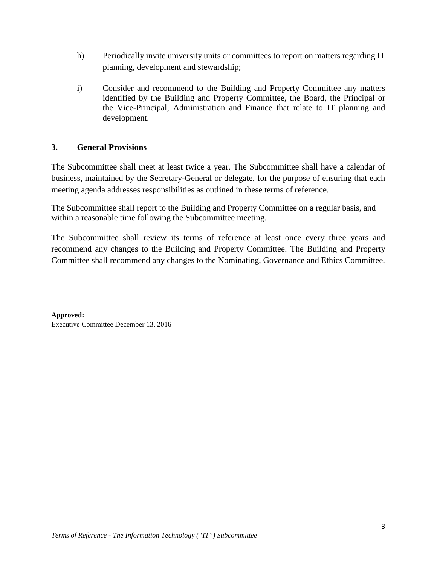- h) Periodically invite university units or committees to report on matters regarding IT planning, development and stewardship;
- i) Consider and recommend to the Building and Property Committee any matters identified by the Building and Property Committee, the Board, the Principal or the Vice-Principal, Administration and Finance that relate to IT planning and development.

## **3. General Provisions**

The Subcommittee shall meet at least twice a year. The Subcommittee shall have a calendar of business, maintained by the Secretary-General or delegate, for the purpose of ensuring that each meeting agenda addresses responsibilities as outlined in these terms of reference.

The Subcommittee shall report to the Building and Property Committee on a regular basis, and within a reasonable time following the Subcommittee meeting.

The Subcommittee shall review its terms of reference at least once every three years and recommend any changes to the Building and Property Committee. The Building and Property Committee shall recommend any changes to the Nominating, Governance and Ethics Committee.

**Approved:** Executive Committee December 13, 2016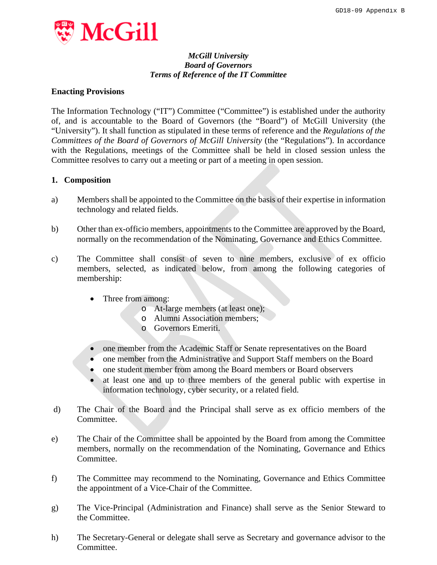

#### *McGill University Board of Governors Terms of Reference of the IT Committee*

#### **Enacting Provisions**

The Information Technology ("IT") Committee ("Committee") is established under the authority of, and is accountable to the Board of Governors (the "Board") of McGill University (the "University"). It shall function as stipulated in these terms of reference and the *Regulations of the Committees of the Board of Governors of McGill University* (the "Regulations"). In accordance with the Regulations, meetings of the Committee shall be held in closed session unless the Committee resolves to carry out a meeting or part of a meeting in open session.

#### **1. Composition**

- a) Members shall be appointed to the Committee on the basis of their expertise in information technology and related fields.
- b) Other than ex-officio members, appointments to the Committee are approved by the Board, normally on the recommendation of the Nominating, Governance and Ethics Committee.
- c) The Committee shall consist of seven to nine members, exclusive of ex officio members, selected, as indicated below, from among the following categories of membership:
	- Three from among:
		- o At-large members (at least one);
		- o Alumni Association members;
		- o Governors Emeriti.
	- one member from the Academic Staff or Senate representatives on the Board
	- one member from the Administrative and Support Staff members on the Board
	- one student member from among the Board members or Board observers
	- at least one and up to three members of the general public with expertise in information technology, cyber security, or a related field.
- d) The Chair of the Board and the Principal shall serve as ex officio members of the Committee.
- e) The Chair of the Committee shall be appointed by the Board from among the Committee members, normally on the recommendation of the Nominating, Governance and Ethics Committee.
- f) The Committee may recommend to the Nominating, Governance and Ethics Committee the appointment of a Vice-Chair of the Committee.
- g) The Vice-Principal (Administration and Finance) shall serve as the Senior Steward to the Committee.
- h) The Secretary-General or delegate shall serve as Secretary and governance advisor to the Committee.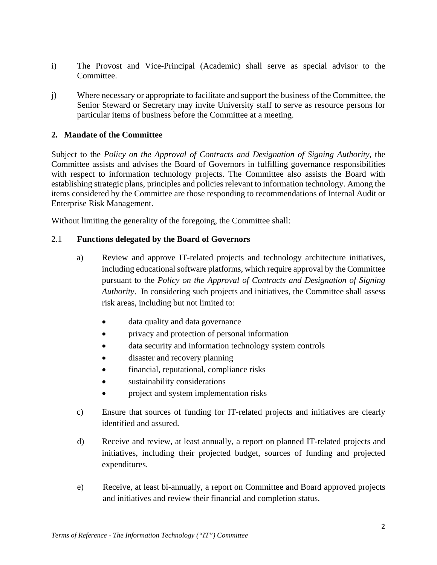- i) The Provost and Vice-Principal (Academic) shall serve as special advisor to the Committee.
- j) Where necessary or appropriate to facilitate and support the business of the Committee, the Senior Steward or Secretary may invite University staff to serve as resource persons for particular items of business before the Committee at a meeting.

## **2. Mandate of the Committee**

Subject to the *Policy on the Approval of Contracts and Designation of Signing Authority*, the Committee assists and advises the Board of Governors in fulfilling governance responsibilities with respect to information technology projects. The Committee also assists the Board with establishing strategic plans, principles and policies relevant to information technology. Among the items considered by the Committee are those responding to recommendations of Internal Audit or Enterprise Risk Management.

Without limiting the generality of the foregoing, the Committee shall:

### 2.1 **Functions delegated by the Board of Governors**

- a) Review and approve IT-related projects and technology architecture initiatives, including educational software platforms, which require approval by the Committee pursuant to the *Policy on the Approval of Contracts and Designation of Signing Authority*. In considering such projects and initiatives, the Committee shall assess risk areas, including but not limited to:
	- data quality and data governance
	- privacy and protection of personal information
	- data security and information technology system controls
	- disaster and recovery planning
	- financial, reputational, compliance risks
	- sustainability considerations
	- project and system implementation risks
- c) Ensure that sources of funding for IT-related projects and initiatives are clearly identified and assured.
- d) Receive and review, at least annually, a report on planned IT-related projects and initiatives, including their projected budget, sources of funding and projected expenditures.
- e) Receive, at least bi-annually, a report on Committee and Board approved projects and initiatives and review their financial and completion status.